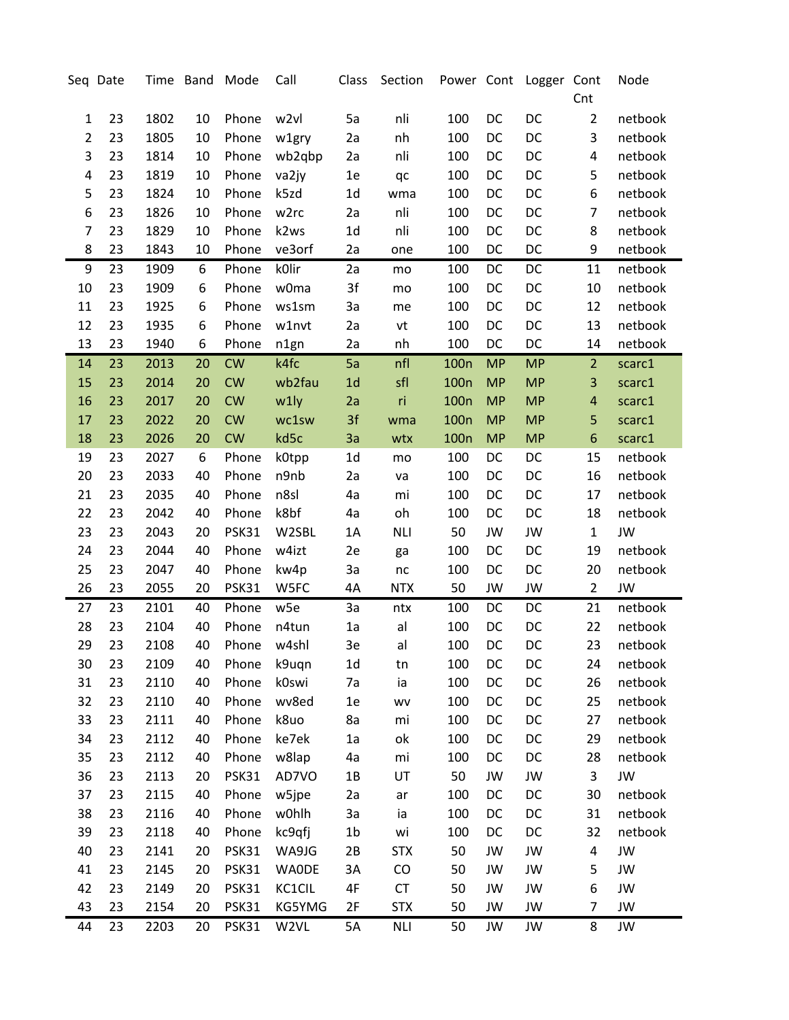|                | Seq Date |      |    | Time Band Mode | Call            | Class          | Section    |                  |           | Power Cont Logger Cont |                         | Node      |
|----------------|----------|------|----|----------------|-----------------|----------------|------------|------------------|-----------|------------------------|-------------------------|-----------|
|                |          |      |    |                |                 |                |            |                  |           |                        | Cnt                     |           |
| 1              | 23       | 1802 | 10 | Phone          | w2vl            | 5a             | nli        | 100              | DC        | DC                     | $\overline{2}$          | netbook   |
| $\overline{2}$ | 23       | 1805 | 10 | Phone          | w1gry           | 2a             | nh         | 100              | DC        | DC                     | 3                       | netbook   |
| 3              | 23       | 1814 | 10 | Phone          | wb2qbp          | 2a             | nli        | 100              | DC        | DC                     | 4                       | netbook   |
| 4              | 23       | 1819 | 10 | Phone          | va2jy           | 1e             | qc         | 100              | DC        | DC                     | 5                       | netbook   |
| 5              | 23       | 1824 | 10 | Phone          | k5zd            | 1 <sub>d</sub> | wma        | 100              | DC        | DC                     | 6                       | netbook   |
| 6              | 23       | 1826 | 10 | Phone          | w2rc            | 2a             | nli        | 100              | DC        | DC                     | 7                       | netbook   |
| 7              | 23       | 1829 | 10 | Phone          | k2ws            | 1 <sub>d</sub> | nli        | 100              | DC        | DC                     | 8                       | netbook   |
| 8              | 23       | 1843 | 10 | Phone          | ve3orf          | 2a             | one        | 100              | DC        | DC                     | 9                       | netbook   |
| 9              | 23       | 1909 | 6  | Phone          | kOlir           | 2a             | mo         | 100              | DC        | DC                     | 11                      | netbook   |
| 10             | 23       | 1909 | 6  | Phone          | w0ma            | 3f             | mo         | 100              | DC        | DC                     | 10                      | netbook   |
| 11             | 23       | 1925 | 6  | Phone          | ws1sm           | 3a             | me         | 100              | DC        | DC                     | 12                      | netbook   |
| 12             | 23       | 1935 | 6  | Phone          | w1nvt           | 2a             | vt         | 100              | DC        | DC                     | 13                      | netbook   |
| 13             | 23       | 1940 | 6  | Phone          | n1gn            | 2a             | nh         | 100              | DC        | DC                     | 14                      | netbook   |
| 14             | 23       | 2013 | 20 | <b>CW</b>      | k4fc            | 5a             | nfl        | 100 <sub>n</sub> | <b>MP</b> | <b>MP</b>              | $\overline{2}$          | scarc1    |
| 15             | 23       | 2014 | 20 | <b>CW</b>      | wb2fau          | 1 <sub>d</sub> | sfl        | 100 <sub>n</sub> | <b>MP</b> | <b>MP</b>              | 3                       | scarc1    |
| 16             | 23       | 2017 | 20 | <b>CW</b>      | w1ly            | 2a             | ri         | 100 <sub>n</sub> | <b>MP</b> | <b>MP</b>              | $\overline{\mathbf{4}}$ | scarc1    |
| 17             | 23       | 2022 | 20 | <b>CW</b>      | wc1sw           | 3f             | wma        | 100 <sub>n</sub> | <b>MP</b> | <b>MP</b>              | 5                       | scarc1    |
| 18             | 23       | 2026 | 20 | <b>CW</b>      | kd5c            | 3a             | wtx        | 100 <sub>n</sub> | <b>MP</b> | <b>MP</b>              | $\boldsymbol{6}$        | scarc1    |
| 19             | 23       | 2027 | 6  | Phone          | k0tpp           | 1 <sub>d</sub> | mo         | 100              | DC        | DC                     | 15                      | netbook   |
| 20             | 23       | 2033 | 40 | Phone          | n9nb            | 2a             | va         | 100              | DC        | DC                     | 16                      | netbook   |
| 21             | 23       | 2035 | 40 | Phone          | n8sl            | 4a             | mi         | 100              | DC        | DC                     | 17                      | netbook   |
| 22             | 23       | 2042 | 40 | Phone          | k8bf            | 4a             | oh         | 100              | DC        | DC                     | 18                      | netbook   |
| 23             | 23       | 2043 | 20 | <b>PSK31</b>   | W2SBL           | 1A             | <b>NLI</b> | 50               | JW        | JW                     | $\mathbf{1}$            | <b>JW</b> |
| 24             | 23       | 2044 | 40 | Phone          | w4izt           | 2e             | ga         | 100              | DC        | DC                     | 19                      | netbook   |
| 25             | 23       | 2047 | 40 | Phone          | kw4p            | 3a             | nc         | 100              | DC        | DC                     | 20                      | netbook   |
| 26             | 23       | 2055 | 20 | PSK31          | W5FC            | 4A             | <b>NTX</b> | 50               | JW        | JW                     | $\overline{2}$          | JW        |
| 27             | 23       | 2101 | 40 | Phone          | w <sub>5e</sub> | 3a             | ntx        | 100              | DC        | DC                     | 21                      | netbook   |
| 28             | 23       | 2104 | 40 | Phone          | n4tun           | 1a             | al         | 100              | DC        | DC                     | 22                      | netbook   |
| 29             | 23       | 2108 | 40 | Phone          | w4shl           | 3e             | al         | 100              | DC        | DC                     | 23                      | netbook   |
| 30             | 23       | 2109 | 40 | Phone          | k9uqn           | 1 <sub>d</sub> | tn         | 100              | DC        | DC                     | 24                      | netbook   |
| 31             | 23       | 2110 | 40 | Phone          | k0swi           | 7a             | ia         | 100              | DC        | DC                     | 26                      | netbook   |
| 32             | 23       | 2110 | 40 | Phone          | wv8ed           | 1e             | WV         | 100              | DC        | DC                     | 25                      | netbook   |
| 33             | 23       | 2111 | 40 | Phone          | k8uo            | 8a             | mi         | 100              | DC        | DC                     | 27                      | netbook   |
| 34             | 23       | 2112 | 40 | Phone          | ke7ek           | 1a             | оk         | 100              | DC        | DC                     | 29                      | netbook   |
| 35             | 23       | 2112 | 40 | Phone          | w8lap           | 4a             | mi         | 100              | DC        | DC                     | 28                      | netbook   |
| 36             | 23       | 2113 | 20 | PSK31          | AD7VO           | $1B$           | UT         | 50               | JW        | JW                     | 3                       | JW        |
| 37             | 23       | 2115 | 40 | Phone          | w5jpe           | 2a             | ar         | 100              | DC        | DC                     | 30                      | netbook   |
| 38             | 23       | 2116 | 40 | Phone          | w0hlh           | 3a             | ia         | 100              | DC        | DC                     | 31                      | netbook   |
| 39             | 23       | 2118 | 40 | Phone          | kc9qfj          | 1 <sub>b</sub> | wi         | 100              | DC        | DC                     | 32                      | netbook   |
| 40             | 23       | 2141 | 20 | PSK31          | WA9JG           | 2B             | <b>STX</b> | 50               | JW        | JW                     | 4                       | JW        |
| 41             | 23       | 2145 | 20 | <b>PSK31</b>   | <b>WAODE</b>    | 3A             | CO         | 50               | JW        | JW                     | 5                       | JW        |
| 42             | 23       | 2149 | 20 | PSK31          | KC1CIL          | $4\mathsf{F}$  | CT         | 50               | JW        | JW                     | 6                       | JW        |
| 43             | 23       | 2154 | 20 | <b>PSK31</b>   | KG5YMG          | 2F             | <b>STX</b> | 50               | JW        | JW                     | $\overline{7}$          | JW        |
| 44             | 23       | 2203 | 20 | PSK31          | W2VL            | 5A             | <b>NLI</b> | 50               | JW        | JW                     | 8                       | JW        |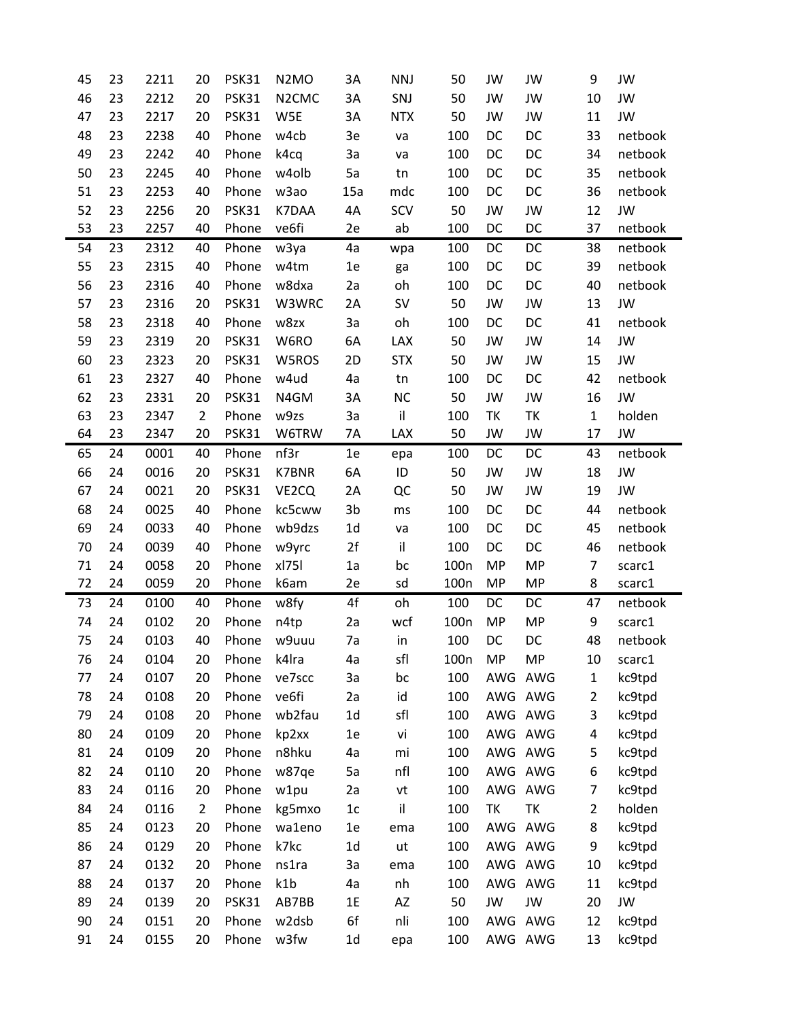| 45 | 23 | 2211 | 20             | PSK31        | N <sub>2</sub> M <sub>O</sub>  | 3A             | <b>NNJ</b> | 50               | JW        | JW        | 9              | JW      |
|----|----|------|----------------|--------------|--------------------------------|----------------|------------|------------------|-----------|-----------|----------------|---------|
| 46 | 23 | 2212 | 20             | PSK31        | N <sub>2</sub> CM <sub>C</sub> | 3A             | SNJ        | 50               | JW        | JW        | 10             | JW      |
| 47 | 23 | 2217 | 20             | PSK31        | W5E                            | 3A             | <b>NTX</b> | 50               | JW        | JW        | 11             | JW      |
| 48 | 23 | 2238 | 40             | Phone        | w4cb                           | 3e             | va         | 100              | DC        | DC        | 33             | netbook |
| 49 | 23 | 2242 | 40             | Phone        | k4cq                           | 3a             | va         | 100              | DC        | DC        | 34             | netbook |
| 50 | 23 | 2245 | 40             | Phone        | w4olb                          | 5a             | tn         | 100              | DC        | DC        | 35             | netbook |
| 51 | 23 | 2253 | 40             | Phone        | w <sub>3</sub> ao              | 15a            | mdc        | 100              | DC        | DC        | 36             | netbook |
| 52 | 23 | 2256 | 20             | PSK31        | K7DAA                          | 4A             | SCV        | 50               | JW        | JW        | 12             | JW      |
| 53 | 23 | 2257 | 40             | Phone        | ve6fi                          | 2e             | ab         | 100              | DC        | DC        | 37             | netbook |
| 54 | 23 | 2312 | 40             | Phone        | w3ya                           | 4a             | wpa        | 100              | DC        | DC        | 38             | netbook |
| 55 | 23 | 2315 | 40             | Phone        | w4tm                           | 1e             | ga         | 100              | DC        | DC        | 39             | netbook |
| 56 | 23 | 2316 | 40             | Phone        | w8dxa                          | 2a             | oh         | 100              | DC        | DC        | 40             | netbook |
| 57 | 23 | 2316 | 20             | PSK31        | W3WRC                          | 2A             | SV         | 50               | JW        | JW        | 13             | JW      |
| 58 | 23 | 2318 | 40             | Phone        | w8zx                           | 3a             | oh         | 100              | DC        | DC        | 41             | netbook |
| 59 | 23 | 2319 | 20             | PSK31        | W6RO                           | 6A             | LAX        | 50               | JW        | JW        | 14             | JW      |
| 60 | 23 | 2323 | 20             | PSK31        | W5ROS                          | 2D             | <b>STX</b> | 50               | JW        | JW        | 15             | JW      |
| 61 | 23 | 2327 | 40             | Phone        | w4ud                           | 4a             | tn         | 100              | DC        | DC        | 42             | netbook |
| 62 | 23 | 2331 | 20             | <b>PSK31</b> | N4GM                           | 3A             | <b>NC</b>  | 50               | JW        | JW        | 16             | JW      |
| 63 | 23 | 2347 | $\overline{2}$ | Phone        | w9zs                           | 3a             | il         | 100              | TK        | ΤK        | $\mathbf{1}$   | holden  |
| 64 | 23 | 2347 | 20             | PSK31        | W6TRW                          | 7A             | LAX        | 50               | JW        | JW        | 17             | JW      |
| 65 | 24 | 0001 | 40             | Phone        | nf3r                           | 1e             | epa        | 100              | DC        | DC        | 43             | netbook |
| 66 | 24 | 0016 | 20             | PSK31        | <b>K7BNR</b>                   | 6A             | ID         | 50               | JW        | JW        | 18             | JW      |
| 67 | 24 | 0021 | 20             | PSK31        | VE2CQ                          | 2A             | QC         | 50               | JW        | JW        | 19             | JW      |
| 68 | 24 | 0025 | 40             | Phone        | kc5cww                         | 3 <sub>b</sub> | ms         | 100              | DC        | DC        | 44             | netbook |
| 69 | 24 | 0033 | 40             | Phone        | wb9dzs                         | 1 <sub>d</sub> | va         | 100              | DC        | DC        | 45             | netbook |
| 70 | 24 | 0039 | 40             | Phone        | w9yrc                          | 2f             | il         | 100              | DC        | DC        | 46             | netbook |
| 71 | 24 | 0058 | 20             | Phone        | $x$ <sub>175</sub>             | 1a             | bc         | 100 <sub>n</sub> | <b>MP</b> | <b>MP</b> | $\overline{7}$ | scarc1  |
| 72 | 24 | 0059 | 20             | Phone        | k6am                           | 2e             | sd         | 100 <sub>n</sub> | <b>MP</b> | MP        | 8              | scarc1  |
| 73 | 24 | 0100 | 40             | Phone        | w8fy                           | $4f$           | oh         | 100              | DC        | DC        | 47             | netbook |
| 74 | 24 | 0102 | 20             | Phone        | n4tp                           | 2a             | wcf        | 100 <sub>n</sub> | <b>MP</b> | <b>MP</b> | 9              | scarc1  |
| 75 | 24 | 0103 | 40             | Phone        | w9uuu                          | 7a             | in         | 100              | DC        | DC        | 48             | netbook |
| 76 | 24 | 0104 | 20             | Phone        | k4lra                          | 4a             | sfl        | 100 <sub>n</sub> | MP        | <b>MP</b> | 10             | scarc1  |
| 77 | 24 | 0107 | 20             | Phone        | ve7scc                         | За             | bc         | 100              | AWG       | AWG       | $\mathbf{1}$   | kc9tpd  |
| 78 | 24 | 0108 | 20             | Phone        | ve6fi                          | 2a             | id         | 100              |           | AWG AWG   | $\overline{2}$ | kc9tpd  |
| 79 | 24 | 0108 | 20             | Phone        | wb2fau                         | 1 <sub>d</sub> | sfl        | 100              |           | AWG AWG   | 3              | kc9tpd  |
| 80 | 24 | 0109 | 20             | Phone        | kp2xx                          | 1e             | vi         | 100              | AWG AWG   |           | 4              | kc9tpd  |
| 81 | 24 | 0109 | 20             | Phone        | n8hku                          | 4a             | mi         | 100              |           | AWG AWG   | 5              | kc9tpd  |
| 82 | 24 | 0110 | 20             | Phone        | w87qe                          | 5a             | nfl        | 100              |           | AWG AWG   | 6              | kc9tpd  |
| 83 | 24 | 0116 | 20             | Phone        | w1pu                           | 2a             | vt         | 100              | AWG AWG   |           | $\overline{7}$ | kc9tpd  |
| 84 | 24 | 0116 | $\overline{2}$ | Phone        | kg5mxo                         | 1c             | il         | 100              | ΤK        | ΤK        | $\overline{2}$ | holden  |
| 85 | 24 | 0123 | 20             | Phone        | wa1eno                         | 1e             | ema        | 100              | AWG AWG   |           | 8              | kc9tpd  |
| 86 | 24 | 0129 | 20             | Phone        | k7kc                           | 1d             | ut         | 100              |           | AWG AWG   | 9              | kc9tpd  |
| 87 | 24 | 0132 | 20             | Phone        | ns1ra                          | За             | ema        | 100              | AWG AWG   |           | 10             | kc9tpd  |
| 88 | 24 | 0137 | 20             | Phone        | k1b                            | 4a             | nh         | 100              | AWG AWG   |           | 11             | kc9tpd  |
| 89 | 24 | 0139 | 20             | PSK31        | AB7BB                          | 1E             | AZ         | 50               | JW        | JW        | 20             | JW      |
| 90 | 24 | 0151 | 20             | Phone        | w2dsb                          | 6f             | nli        | 100              | AWG AWG   |           | 12             | kc9tpd  |
| 91 | 24 | 0155 | 20             | Phone        | w3fw                           | 1 <sub>d</sub> | epa        | 100              |           | AWG AWG   | 13             | kc9tpd  |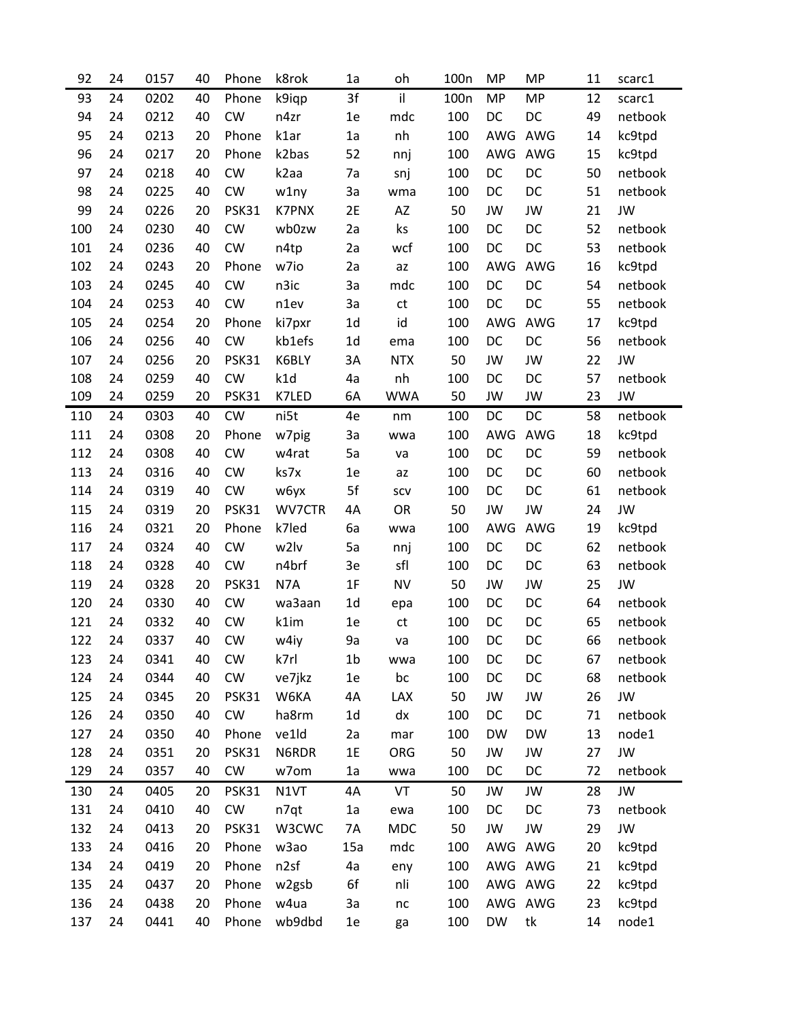| 92  | 24 | 0157 | 40 | Phone        | k8rok             | 1a             | oh            | 100 <sub>n</sub> | <b>MP</b> | <b>MP</b> | 11 | scarc1    |
|-----|----|------|----|--------------|-------------------|----------------|---------------|------------------|-----------|-----------|----|-----------|
| 93  | 24 | 0202 | 40 | Phone        | k9iqp             | 3f             | il            | 100 <sub>n</sub> | <b>MP</b> | <b>MP</b> | 12 | scarc1    |
| 94  | 24 | 0212 | 40 | <b>CW</b>    | n4zr              | 1e             | mdc           | 100              | DC        | DC        | 49 | netbook   |
| 95  | 24 | 0213 | 20 | Phone        | k1ar              | 1a             | nh            | 100              | AWG       | AWG       | 14 | kc9tpd    |
| 96  | 24 | 0217 | 20 | Phone        | k2bas             | 52             | nnj           | 100              | AWG       | AWG       | 15 | kc9tpd    |
| 97  | 24 | 0218 | 40 | <b>CW</b>    | k <sub>2</sub> aa | 7a             | snj           | 100              | DC        | DC        | 50 | netbook   |
| 98  | 24 | 0225 | 40 | CW           | w1ny              | 3a             | wma           | 100              | DC        | DC        | 51 | netbook   |
| 99  | 24 | 0226 | 20 | <b>PSK31</b> | <b>K7PNX</b>      | 2E             | AZ            | 50               | JW        | JW        | 21 | <b>JW</b> |
| 100 | 24 | 0230 | 40 | <b>CW</b>    | wb0zw             | 2a             | ks            | 100              | DC        | DC        | 52 | netbook   |
| 101 | 24 | 0236 | 40 | CW           | n4tp              | 2a             | wcf           | 100              | DC        | DC        | 53 | netbook   |
| 102 | 24 | 0243 | 20 | Phone        | w7io              | 2a             | az            | 100              | AWG       | AWG       | 16 | kc9tpd    |
| 103 | 24 | 0245 | 40 | <b>CW</b>    | n3ic              | 3a             | mdc           | 100              | DC        | DC        | 54 | netbook   |
| 104 | 24 | 0253 | 40 | CW           | n1ev              | 3a             | $\mathsf{ct}$ | 100              | DC        | DC        | 55 | netbook   |
| 105 | 24 | 0254 | 20 | Phone        | ki7pxr            | 1 <sub>d</sub> | id            | 100              | AWG       | AWG       | 17 | kc9tpd    |
| 106 | 24 | 0256 | 40 | CW           | kb1efs            | 1 <sub>d</sub> | ema           | 100              | DC        | DC        | 56 | netbook   |
| 107 | 24 | 0256 | 20 | <b>PSK31</b> | K6BLY             | 3A             | <b>NTX</b>    | 50               | JW        | JW        | 22 | <b>JW</b> |
| 108 | 24 | 0259 | 40 | <b>CW</b>    | k1d               | 4a             | nh            | 100              | DC        | DC        | 57 | netbook   |
| 109 | 24 | 0259 | 20 | <b>PSK31</b> | K7LED             | 6A             | <b>WWA</b>    | 50               | JW        | JW        | 23 | JW        |
| 110 | 24 | 0303 | 40 | <b>CW</b>    | ni5t              | 4e             | nm            | 100              | DC        | DC        | 58 | netbook   |
| 111 | 24 | 0308 | 20 | Phone        | w7pig             | 3a             | wwa           | 100              | AWG       | AWG       | 18 | kc9tpd    |
| 112 | 24 | 0308 | 40 | CW           | w4rat             | 5a             | va            | 100              | DC        | DC        | 59 | netbook   |
| 113 | 24 | 0316 | 40 | CW           | ks7x              | 1e             | az            | 100              | DC        | DC        | 60 | netbook   |
| 114 | 24 | 0319 | 40 | <b>CW</b>    | <b>w6yx</b>       | 5f             | scv           | 100              | DC        | DC        | 61 | netbook   |
| 115 | 24 | 0319 | 20 | <b>PSK31</b> | WV7CTR            | 4A             | <b>OR</b>     | 50               | JW        | JW        | 24 | JW        |
| 116 | 24 | 0321 | 20 | Phone        | k7led             | 6a             | wwa           | 100              | AWG       | AWG       | 19 | kc9tpd    |
| 117 | 24 | 0324 | 40 | <b>CW</b>    | w2lv              | 5a             | nnj           | 100              | DC        | DC        | 62 | netbook   |
| 118 | 24 | 0328 | 40 | <b>CW</b>    | n4brf             | 3e             | sfl           | 100              | DC        | DC        | 63 | netbook   |
| 119 | 24 | 0328 | 20 | <b>PSK31</b> | N7A               | 1F             | <b>NV</b>     | 50               | JW        | JW        | 25 | <b>JW</b> |
| 120 | 24 | 0330 | 40 | CW           | wa3aan            | 1 <sub>d</sub> | epa           | 100              | DC        | DC        | 64 | netbook   |
| 121 | 24 | 0332 | 40 | CW           | k1im              | 1e             | $\mathsf{ct}$ | 100              | DC        | DC        | 65 | netbook   |
| 122 | 24 | 0337 | 40 | <b>CW</b>    | w4iy              | 9a             | va            | 100              | DC        | DC        | 66 | netbook   |
| 123 | 24 | 0341 | 40 | <b>CW</b>    | k7rl              | 1b             | wwa           | 100              | DC        | DC        | 67 | netbook   |
| 124 | 24 | 0344 | 40 | CW           | ve7jkz            | 1e             | bc            | 100              | DC        | DC        | 68 | netbook   |
| 125 | 24 | 0345 | 20 | PSK31        | W6KA              | 4A             | LAX           | 50               | JW        | JW        | 26 | JW        |
| 126 | 24 | 0350 | 40 | CW           | ha8rm             | 1 <sub>d</sub> | dx            | 100              | DC        | DC        | 71 | netbook   |
| 127 | 24 | 0350 | 40 | Phone        | ve1ld             | 2a             | mar           | 100              | <b>DW</b> | <b>DW</b> | 13 | node1     |
| 128 | 24 | 0351 | 20 | PSK31        | N6RDR             | 1E             | ORG           | 50               | JW        | JW        | 27 | JW        |
| 129 | 24 | 0357 | 40 | <b>CW</b>    | w7om              | 1a             | wwa           | 100              | DC        | DC        | 72 | netbook   |
| 130 | 24 | 0405 | 20 | PSK31        | N1VT              | 4A             | VT            | 50               | JW        | JW        | 28 | JW        |
| 131 | 24 | 0410 | 40 | CW           | n7qt              | 1a             | ewa           | 100              | DC        | DC        | 73 | netbook   |
| 132 | 24 | 0413 | 20 | <b>PSK31</b> | W3CWC             | 7A             | MDC           | 50               | JW        | JW        | 29 | JW        |
| 133 | 24 | 0416 | 20 | Phone        | w <sub>3</sub> ao | 15a            | mdc           | 100              | AWG AWG   |           | 20 | kc9tpd    |
| 134 | 24 | 0419 | 20 | Phone        | n2sf              | 4a             | eny           | 100              |           | AWG AWG   | 21 | kc9tpd    |
| 135 | 24 | 0437 | 20 | Phone        | w2gsb             | 6f             | nli           | 100              |           | AWG AWG   | 22 | kc9tpd    |
| 136 | 24 | 0438 | 20 | Phone        | w4ua              | 3a             | $\sf nc$      | 100              |           | AWG AWG   | 23 | kc9tpd    |
| 137 | 24 | 0441 | 40 | Phone        | wb9dbd            | 1e             | ga            | 100              | DW        | tk        | 14 | node1     |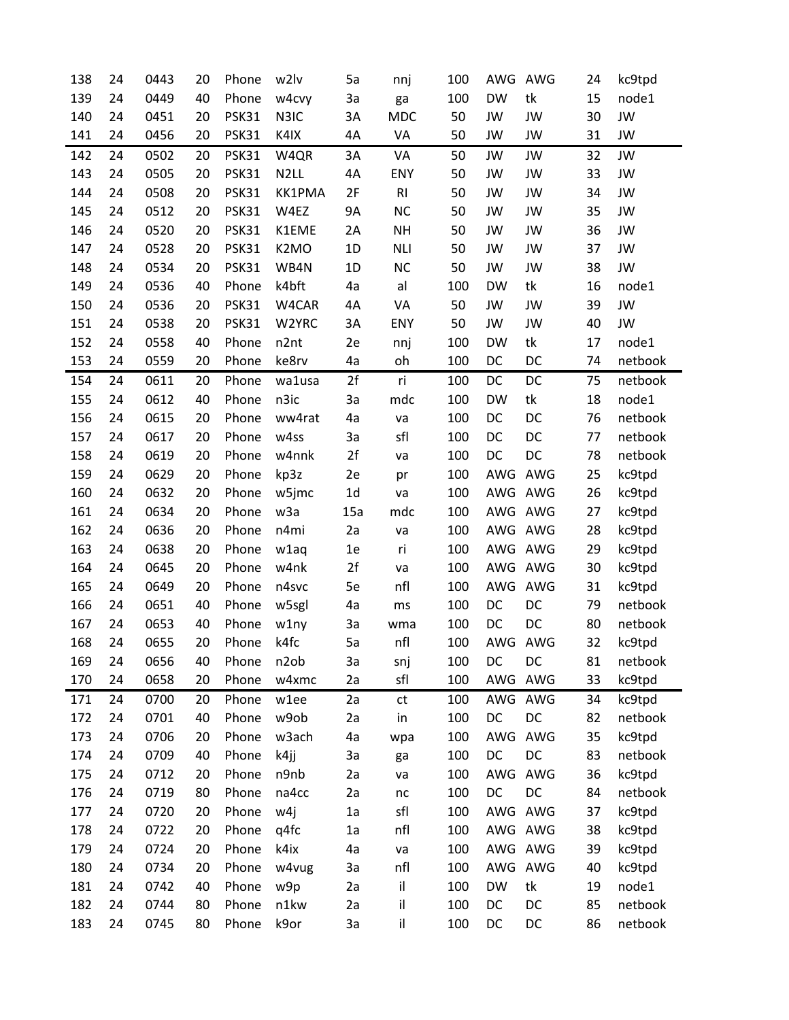| 138 | 24 | 0443 | 20 | Phone        | w2lv               | 5a             | nnj        | 100 | AWG       | AWG     | 24 | kc9tpd  |
|-----|----|------|----|--------------|--------------------|----------------|------------|-----|-----------|---------|----|---------|
| 139 | 24 | 0449 | 40 | Phone        | w4cvy              | За             | ga         | 100 | <b>DW</b> | tk      | 15 | node1   |
| 140 | 24 | 0451 | 20 | <b>PSK31</b> | N3IC               | 3A             | <b>MDC</b> | 50  | JW        | JW      | 30 | JW      |
| 141 | 24 | 0456 | 20 | PSK31        | K4IX               | 4A             | VA         | 50  | JW        | JW      | 31 | JW      |
| 142 | 24 | 0502 | 20 | <b>PSK31</b> | W4QR               | 3A             | VA         | 50  | JW        | JW      | 32 | JW      |
| 143 | 24 | 0505 | 20 | PSK31        | N <sub>2LL</sub>   | 4A             | ENY        | 50  | JW        | JW      | 33 | JW      |
| 144 | 24 | 0508 | 20 | PSK31        | <b>KK1PMA</b>      | 2F             | R1         | 50  | JW        | JW      | 34 | JW      |
| 145 | 24 | 0512 | 20 | <b>PSK31</b> | W4EZ               | <b>9A</b>      | <b>NC</b>  | 50  | JW        | JW      | 35 | JW      |
| 146 | 24 | 0520 | 20 | PSK31        | K1EME              | 2A             | <b>NH</b>  | 50  | JW        | JW      | 36 | JW      |
| 147 | 24 | 0528 | 20 | PSK31        | K <sub>2</sub> MO  | 1D             | <b>NLI</b> | 50  | JW        | JW      | 37 | JW      |
| 148 | 24 | 0534 | 20 | PSK31        | WB4N               | 1D             | <b>NC</b>  | 50  | JW        | JW      | 38 | JW      |
| 149 | 24 | 0536 | 40 | Phone        | k4bft              | 4a             | al         | 100 | <b>DW</b> | tk      | 16 | node1   |
| 150 | 24 | 0536 | 20 | PSK31        | W4CAR              | 4A             | VA         | 50  | JW        | JW      | 39 | JW      |
| 151 | 24 | 0538 | 20 | PSK31        | W2YRC              | 3A             | ENY        | 50  | JW        | JW      | 40 | JW      |
| 152 | 24 | 0558 | 40 | Phone        | n2nt               | 2e             | nnj        | 100 | <b>DW</b> | tk      | 17 | node1   |
| 153 | 24 | 0559 | 20 | Phone        | ke8rv              | 4a             | oh         | 100 | DC        | DC      | 74 | netbook |
| 154 | 24 | 0611 | 20 | Phone        | wa1usa             | 2f             | ri         | 100 | DC        | DC      | 75 | netbook |
| 155 | 24 | 0612 | 40 | Phone        | n3ic               | 3a             | mdc        | 100 | <b>DW</b> | tk      | 18 | node1   |
| 156 | 24 | 0615 | 20 | Phone        | ww4rat             | 4a             | va         | 100 | DC        | DC      | 76 | netbook |
| 157 | 24 | 0617 | 20 | Phone        | w4ss               | За             | sfl        | 100 | DC        | DC      | 77 | netbook |
| 158 | 24 | 0619 | 20 | Phone        | w4nnk              | 2f             | va         | 100 | DC        | DC      | 78 | netbook |
| 159 | 24 | 0629 | 20 | Phone        | kp3z               | 2e             | pr         | 100 |           | AWG AWG | 25 | kc9tpd  |
| 160 | 24 | 0632 | 20 | Phone        | w5jmc              | 1 <sub>d</sub> | va         | 100 |           | AWG AWG | 26 | kc9tpd  |
| 161 | 24 | 0634 | 20 | Phone        | w <sub>3</sub> a   | 15a            | mdc        | 100 |           | AWG AWG | 27 | kc9tpd  |
| 162 | 24 | 0636 | 20 | Phone        | n4mi               | 2a             | va         | 100 |           | AWG AWG | 28 | kc9tpd  |
| 163 | 24 | 0638 | 20 | Phone        | w1aq               | 1e             | ri         | 100 |           | AWG AWG | 29 | kc9tpd  |
| 164 | 24 | 0645 | 20 | Phone        | w4nk               | 2f             | va         | 100 |           | AWG AWG | 30 | kc9tpd  |
| 165 | 24 | 0649 | 20 | Phone        | n4svc              | 5e             | nfl        | 100 | AWG       | AWG     | 31 | kc9tpd  |
| 166 | 24 | 0651 | 40 | Phone        | w5sgl              | 4a             | ms         | 100 | DC        | DC      | 79 | netbook |
| 167 | 24 | 0653 | 40 | Phone        | w1ny               | За             | wma        | 100 | DC        | DC      | 80 | netbook |
| 168 | 24 | 0655 | 20 | Phone        | k4fc               | 5a             | nfl        | 100 |           | AWG AWG | 32 | kc9tpd  |
| 169 | 24 | 0656 | 40 | Phone        | n2ob               | 3a             | snj        | 100 | DC        | DC      | 81 | netbook |
| 170 | 24 | 0658 | 20 | Phone        | w4xmc              | 2a             | sfl        | 100 |           | AWG AWG | 33 | kc9tpd  |
| 171 | 24 | 0700 | 20 | Phone        | w1ee               | 2a             | ct         | 100 |           | AWG AWG | 34 | kc9tpd  |
| 172 | 24 | 0701 | 40 | Phone        | w9ob               | 2a             | in         | 100 | DC        | DC      | 82 | netbook |
| 173 | 24 | 0706 | 20 | Phone        | w <sub>3</sub> ach | 4a             | wpa        | 100 | AWG       | AWG     | 35 | kc9tpd  |
| 174 | 24 | 0709 | 40 | Phone        | k4jj               | За             | ga         | 100 | DC        | DC      | 83 | netbook |
| 175 | 24 | 0712 | 20 | Phone        | n9nb               | 2a             | va         | 100 | AWG       | AWG     | 36 | kc9tpd  |
| 176 | 24 | 0719 | 80 | Phone        | na4cc              | 2a             | $\sf nc$   | 100 | DC        | DC      | 84 | netbook |
| 177 | 24 | 0720 | 20 | Phone        | w4j                | 1a             | sfl        | 100 |           | AWG AWG | 37 | kc9tpd  |
| 178 | 24 | 0722 | 20 | Phone        | q4fc               | 1a             | nfl        | 100 |           | AWG AWG | 38 | kc9tpd  |
| 179 | 24 | 0724 | 20 | Phone        | k4ix               | 4a             | va         | 100 |           | AWG AWG | 39 | kc9tpd  |
| 180 | 24 | 0734 | 20 | Phone        | w4vug              | За             | nfl        | 100 | AWG       | AWG     | 40 | kc9tpd  |
| 181 | 24 | 0742 | 40 | Phone        | w9p                | 2a             | il         | 100 | <b>DW</b> | tk      | 19 | node1   |
| 182 | 24 | 0744 | 80 | Phone        | n1kw               | 2a             | il         | 100 | DC        | DC      | 85 | netbook |
| 183 | 24 | 0745 | 80 | Phone        | k9or               | За             | il         | 100 | DC        | DC      | 86 | netbook |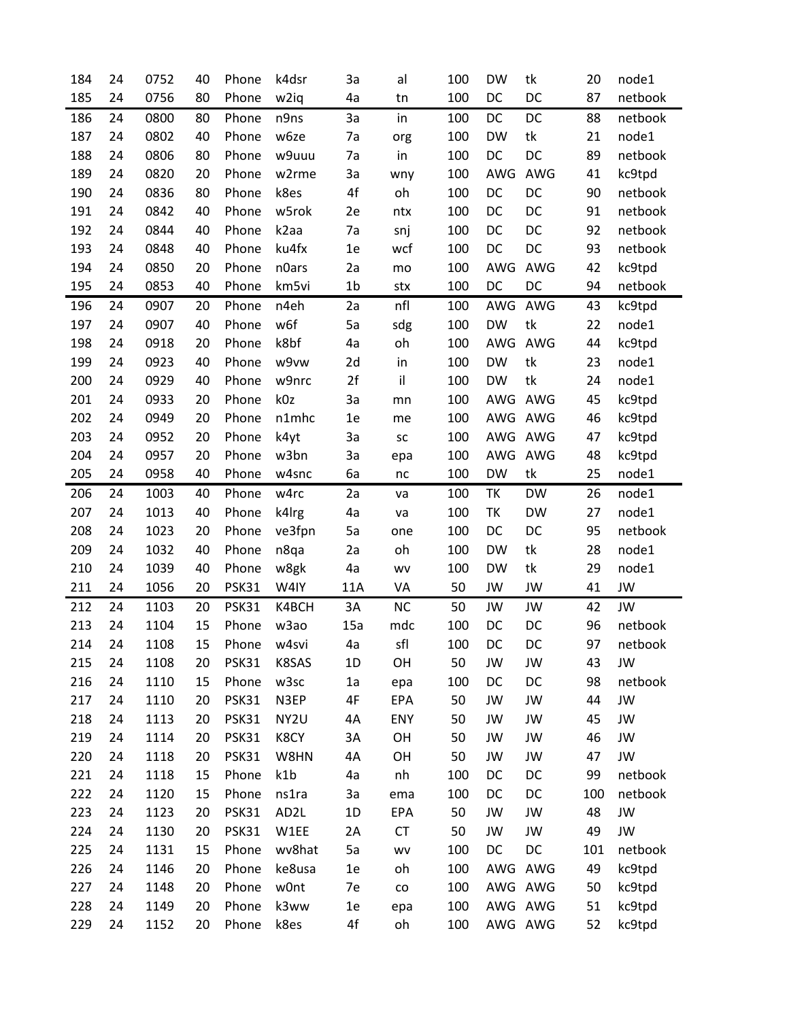| 184 | 24 | 0752 | 40 | Phone        | k4dsr             | 3a             | al                           | 100 | <b>DW</b> | tk        | 20  | node1   |
|-----|----|------|----|--------------|-------------------|----------------|------------------------------|-----|-----------|-----------|-----|---------|
| 185 | 24 | 0756 | 80 | Phone        | w <sub>2iq</sub>  | 4a             | tn                           | 100 | DC        | DC        | 87  | netbook |
| 186 | 24 | 0800 | 80 | Phone        | n9ns              | 3a             | in                           | 100 | DC        | DC        | 88  | netbook |
| 187 | 24 | 0802 | 40 | Phone        | w6ze              | 7a             | org                          | 100 | <b>DW</b> | tk        | 21  | node1   |
| 188 | 24 | 0806 | 80 | Phone        | w9uuu             | 7a             | in                           | 100 | DC        | DC        | 89  | netbook |
| 189 | 24 | 0820 | 20 | Phone        | w2rme             | 3a             | wny                          | 100 | AWG       | AWG       | 41  | kc9tpd  |
| 190 | 24 | 0836 | 80 | Phone        | k8es              | 4f             | oh                           | 100 | DC        | DC        | 90  | netbook |
| 191 | 24 | 0842 | 40 | Phone        | w5rok             | 2e             | ntx                          | 100 | DC        | DC        | 91  | netbook |
| 192 | 24 | 0844 | 40 | Phone        | k <sub>2</sub> aa | 7a             | snj                          | 100 | DC        | DC        | 92  | netbook |
| 193 | 24 | 0848 | 40 | Phone        | ku4fx             | 1e             | wcf                          | 100 | DC        | DC        | 93  | netbook |
| 194 | 24 | 0850 | 20 | Phone        | n0ars             | 2a             | mo                           | 100 | AWG       | AWG       | 42  | kc9tpd  |
| 195 | 24 | 0853 | 40 | Phone        | km5vi             | 1 <sub>b</sub> | stx                          | 100 | DC        | DC        | 94  | netbook |
| 196 | 24 | 0907 | 20 | Phone        | n4eh              | 2a             | nfl                          | 100 | AWG       | AWG       | 43  | kc9tpd  |
| 197 | 24 | 0907 | 40 | Phone        | w6f               | 5a             | sdg                          | 100 | <b>DW</b> | tk        | 22  | node1   |
| 198 | 24 | 0918 | 20 | Phone        | k8bf              | 4a             | oh                           | 100 | AWG       | AWG       | 44  | kc9tpd  |
| 199 | 24 | 0923 | 40 | Phone        | w9vw              | 2d             | in                           | 100 | <b>DW</b> | tk        | 23  | node1   |
| 200 | 24 | 0929 | 40 | Phone        | w9nrc             | 2f             | il                           | 100 | <b>DW</b> | tk        | 24  | node1   |
| 201 | 24 | 0933 | 20 | Phone        | k0z               | 3a             | mn                           | 100 | AWG       | AWG       | 45  | kc9tpd  |
| 202 | 24 | 0949 | 20 | Phone        | n1mhc             | 1e             | me                           | 100 | AWG       | AWG       | 46  | kc9tpd  |
| 203 | 24 | 0952 | 20 | Phone        | k4yt              | 3a             | ${\sf sc}$                   | 100 | AWG AWG   |           | 47  | kc9tpd  |
| 204 | 24 | 0957 | 20 | Phone        | w3bn              | 3a             | epa                          | 100 | AWG AWG   |           | 48  | kc9tpd  |
| 205 | 24 | 0958 | 40 | Phone        | w4snc             | 6a             | $\sf nc$                     | 100 | <b>DW</b> | tk        | 25  | node1   |
| 206 | 24 | 1003 | 40 | Phone        | w4rc              | 2a             | va                           | 100 | TΚ        | <b>DW</b> | 26  | node1   |
| 207 | 24 | 1013 | 40 | Phone        | k4lrg             | 4a             | va                           | 100 | TK        | <b>DW</b> | 27  | node1   |
| 208 | 24 | 1023 | 20 | Phone        | ve3fpn            | 5a             | one                          | 100 | DC        | DC        | 95  | netbook |
| 209 | 24 | 1032 | 40 | Phone        | n8qa              | 2a             | oh                           | 100 | <b>DW</b> | tk        | 28  | node1   |
| 210 | 24 | 1039 | 40 | Phone        | w8gk              | 4a             | wv                           | 100 | <b>DW</b> | tk        | 29  | node1   |
| 211 | 24 | 1056 | 20 | <b>PSK31</b> | W4IY              | 11A            | VA                           | 50  | JW        | JW        | 41  | JW      |
| 212 | 24 | 1103 | 20 | PSK31        | K4BCH             | 3A             | <b>NC</b>                    | 50  | JW        | JW        | 42  | JW      |
| 213 | 24 | 1104 | 15 | Phone        | w <sub>3</sub> ao | 15a            | mdc                          | 100 | DC        | DC        | 96  | netbook |
| 214 | 24 | 1108 | 15 | Phone        | w4svi             | 4a             | sfl                          | 100 | DC        | DC        | 97  | netbook |
| 215 | 24 | 1108 | 20 | <b>PSK31</b> | K8SAS             | 1D             | OH                           | 50  | JW        | JW        | 43  | JW      |
| 216 | 24 | 1110 | 15 | Phone        | w3sc              | 1a             | epa                          | 100 | DC        | DC        | 98  | netbook |
| 217 | 24 | 1110 | 20 | PSK31        | N3EP              | 4F             | EPA                          | 50  | JW        | JW        | 44  | JW      |
| 218 | 24 | 1113 | 20 | PSK31        | NY <sub>2U</sub>  | 4A             | ENY                          | 50  | JW        | JW        | 45  | JW      |
| 219 | 24 | 1114 | 20 | <b>PSK31</b> | K8CY              | 3A             | OH                           | 50  | JW        | JW        | 46  | JW      |
| 220 | 24 | 1118 | 20 | PSK31        | W8HN              | 4A             | OH                           | 50  | JW        | JW        | 47  | JW      |
| 221 | 24 | 1118 | 15 | Phone        | k1b               | 4a             | nh                           | 100 | DC        | DC        | 99  | netbook |
| 222 | 24 | 1120 | 15 | Phone        | ns1ra             | 3a             | ema                          | 100 | DC        | DC        | 100 | netbook |
| 223 | 24 | 1123 | 20 | PSK31        | AD <sub>2</sub> L | 1D             | EPA                          | 50  | JW        | JW        | 48  | JW      |
| 224 | 24 | 1130 | 20 | PSK31        | W1EE              | 2A             | CT                           | 50  | JW        | JW        | 49  | JW      |
| 225 | 24 | 1131 | 15 | Phone        | wv8hat            | 5a             | WV                           | 100 | DC        | DC        | 101 | netbook |
| 226 | 24 | 1146 | 20 | Phone        | ke8usa            | 1e             | oh                           | 100 | AWG AWG   |           | 49  | kc9tpd  |
| 227 | 24 | 1148 | 20 | Phone        | w0nt              | 7e             | $\mathsf{co}\hspace{0.05cm}$ | 100 | AWG AWG   |           | 50  | kc9tpd  |
| 228 | 24 | 1149 | 20 | Phone        | k3ww              | 1e             | epa                          | 100 | AWG AWG   |           | 51  | kc9tpd  |
| 229 | 24 | 1152 | 20 | Phone        | k8es              | 4f             | oh                           | 100 | AWG AWG   |           | 52  | kc9tpd  |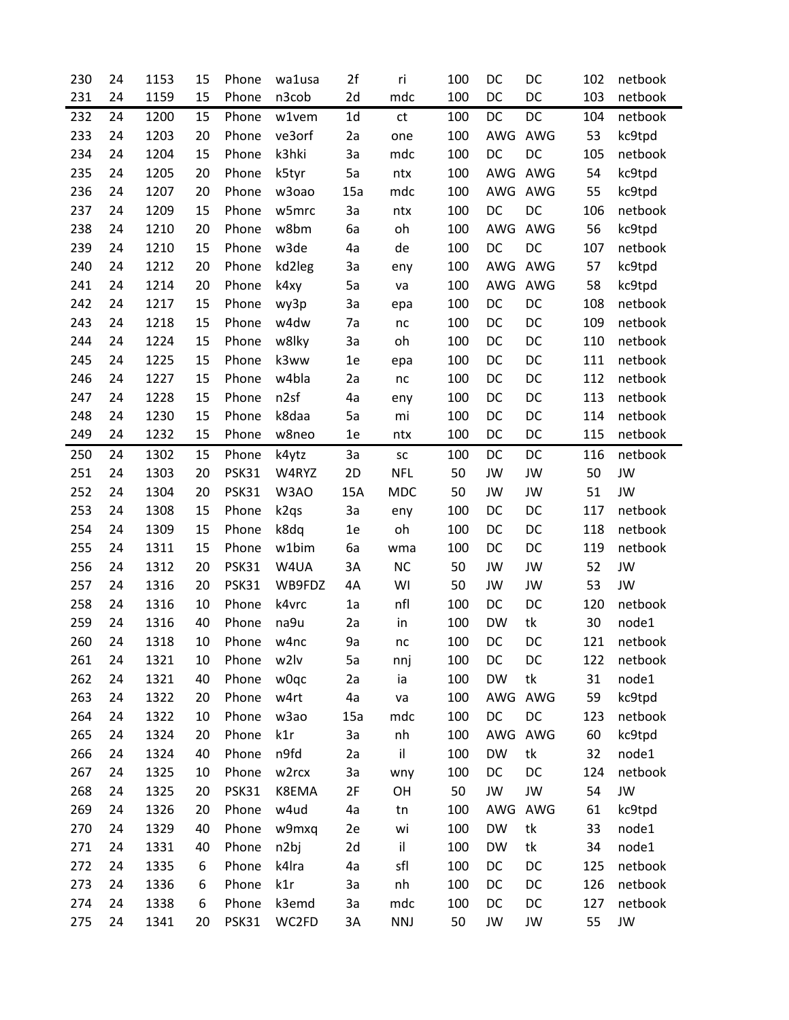| 230 | 24 | 1153 | 15 | Phone        | wa1usa            | 2f             | ri         | 100 | DC        | DC  | 102 | netbook   |
|-----|----|------|----|--------------|-------------------|----------------|------------|-----|-----------|-----|-----|-----------|
| 231 | 24 | 1159 | 15 | Phone        | n3cob             | 2d             | mdc        | 100 | DC        | DC  | 103 | netbook   |
| 232 | 24 | 1200 | 15 | Phone        | w1vem             | 1 <sub>d</sub> | ct         | 100 | DC        | DC  | 104 | netbook   |
| 233 | 24 | 1203 | 20 | Phone        | ve3orf            | 2a             | one        | 100 | AWG       | AWG | 53  | kc9tpd    |
| 234 | 24 | 1204 | 15 | Phone        | k3hki             | 3a             | mdc        | 100 | DC        | DC  | 105 | netbook   |
| 235 | 24 | 1205 | 20 | Phone        | k5tyr             | 5a             | ntx        | 100 | AWG       | AWG | 54  | kc9tpd    |
| 236 | 24 | 1207 | 20 | Phone        | w3oao             | 15a            | mdc        | 100 | AWG       | AWG | 55  | kc9tpd    |
| 237 | 24 | 1209 | 15 | Phone        | w5mrc             | 3a             | ntx        | 100 | DC        | DC  | 106 | netbook   |
| 238 | 24 | 1210 | 20 | Phone        | w8bm              | 6a             | oh         | 100 | AWG       | AWG | 56  | kc9tpd    |
| 239 | 24 | 1210 | 15 | Phone        | w3de              | 4a             | de         | 100 | DC        | DC  | 107 | netbook   |
| 240 | 24 | 1212 | 20 | Phone        | kd2leg            | За             | eny        | 100 | AWG       | AWG | 57  | kc9tpd    |
| 241 | 24 | 1214 | 20 | Phone        | k4xy              | 5a             | va         | 100 | AWG       | AWG | 58  | kc9tpd    |
| 242 | 24 | 1217 | 15 | Phone        | wy3p              | 3a             | epa        | 100 | DC        | DC  | 108 | netbook   |
| 243 | 24 | 1218 | 15 | Phone        | w4dw              | 7a             | nc         | 100 | DC        | DC  | 109 | netbook   |
| 244 | 24 | 1224 | 15 | Phone        | w8lky             | 3a             | oh         | 100 | DC        | DC  | 110 | netbook   |
| 245 | 24 | 1225 | 15 | Phone        | k3ww              | 1e             | epa        | 100 | DC        | DC  | 111 | netbook   |
| 246 | 24 | 1227 | 15 | Phone        | w4bla             | 2a             | nc         | 100 | DC        | DC  | 112 | netbook   |
| 247 | 24 | 1228 | 15 | Phone        | n <sub>2sf</sub>  | 4a             | eny        | 100 | DC        | DC  | 113 | netbook   |
| 248 | 24 | 1230 | 15 | Phone        | k8daa             | 5a             | mi         | 100 | DC        | DC  | 114 | netbook   |
| 249 | 24 | 1232 | 15 | Phone        | w8neo             | 1e             | ntx        | 100 | DC        | DC  | 115 | netbook   |
| 250 | 24 | 1302 | 15 | Phone        | k4ytz             | 3a             | SC         | 100 | DC        | DC  | 116 | netbook   |
| 251 | 24 | 1303 | 20 | PSK31        | W4RYZ             | 2D             | <b>NFL</b> | 50  | JW        | JW  | 50  | <b>JW</b> |
| 252 | 24 | 1304 | 20 | PSK31        | W3AO              | 15A            | <b>MDC</b> | 50  | JW        | JW  | 51  | <b>JW</b> |
| 253 | 24 | 1308 | 15 | Phone        | k <sub>2</sub> qs | 3a             | eny        | 100 | DC        | DC  | 117 | netbook   |
| 254 | 24 | 1309 | 15 | Phone        | k8dq              | 1e             | oh         | 100 | DC        | DC  | 118 | netbook   |
| 255 | 24 | 1311 | 15 | Phone        | w1bim             | 6a             | wma        | 100 | DC        | DC  | 119 | netbook   |
| 256 | 24 | 1312 | 20 | PSK31        | W4UA              | 3A             | <b>NC</b>  | 50  | JW        | JW  | 52  | <b>JW</b> |
| 257 | 24 | 1316 | 20 | <b>PSK31</b> | WB9FDZ            | 4A             | WI         | 50  | JW        | JW  | 53  | JW        |
| 258 | 24 | 1316 | 10 | Phone        | k4vrc             | 1a             | nfl        | 100 | DC        | DC  | 120 | netbook   |
| 259 | 24 | 1316 | 40 | Phone        | na9u              | 2a             | in         | 100 | <b>DW</b> | tk  | 30  | node1     |
| 260 | 24 | 1318 | 10 | Phone        | w4nc              | 9a             | nc         | 100 | DC        | DC  | 121 | netbook   |
| 261 | 24 | 1321 | 10 | Phone        | w2lv              | 5a             | nnj        | 100 | DC        | DC  | 122 | netbook   |
| 262 | 24 | 1321 | 40 | Phone        | w0qc              | 2a             | ia         | 100 | <b>DW</b> | tk  | 31  | node1     |
| 263 | 24 | 1322 | 20 | Phone        | w4rt              | 4a             | va         | 100 | AWG       | AWG | 59  | kc9tpd    |
| 264 | 24 | 1322 | 10 | Phone        | w3ao              | 15a            | mdc        | 100 | DC        | DC  | 123 | netbook   |
| 265 | 24 | 1324 | 20 | Phone        | k1r               | 3a             | nh         | 100 | AWG       | AWG | 60  | kc9tpd    |
| 266 | 24 | 1324 | 40 | Phone        | n9fd              | 2a             | il         | 100 | <b>DW</b> | tk  | 32  | node1     |
| 267 | 24 | 1325 | 10 | Phone        | w2rcx             | 3a             | wny        | 100 | DC        | DC  | 124 | netbook   |
| 268 | 24 | 1325 | 20 | PSK31        | K8EMA             | 2F             | OH         | 50  | JW        | JW  | 54  | JW        |
| 269 | 24 | 1326 | 20 | Phone        | w4ud              | 4a             | tn         | 100 | AWG       | AWG | 61  | kc9tpd    |
| 270 | 24 | 1329 | 40 | Phone        | w9mxq             | 2e             | wi         | 100 | <b>DW</b> | tk  | 33  | node1     |
| 271 | 24 | 1331 | 40 | Phone        | n2bj              | 2d             | il         | 100 | <b>DW</b> | tk  | 34  | node1     |
| 272 | 24 | 1335 | 6  | Phone        | k4lra             | 4a             | sfl        | 100 | DC        | DC  | 125 | netbook   |
| 273 | 24 | 1336 | 6  | Phone        | k1r               | 3a             | nh         | 100 | DC        | DC  | 126 | netbook   |
| 274 | 24 | 1338 | 6  | Phone        | k3emd             | За             | mdc        | 100 | DC        | DC  | 127 | netbook   |
| 275 | 24 | 1341 | 20 | PSK31        | WC2FD             | 3A             | <b>NNJ</b> | 50  | JW        | JW  | 55  | JW        |
|     |    |      |    |              |                   |                |            |     |           |     |     |           |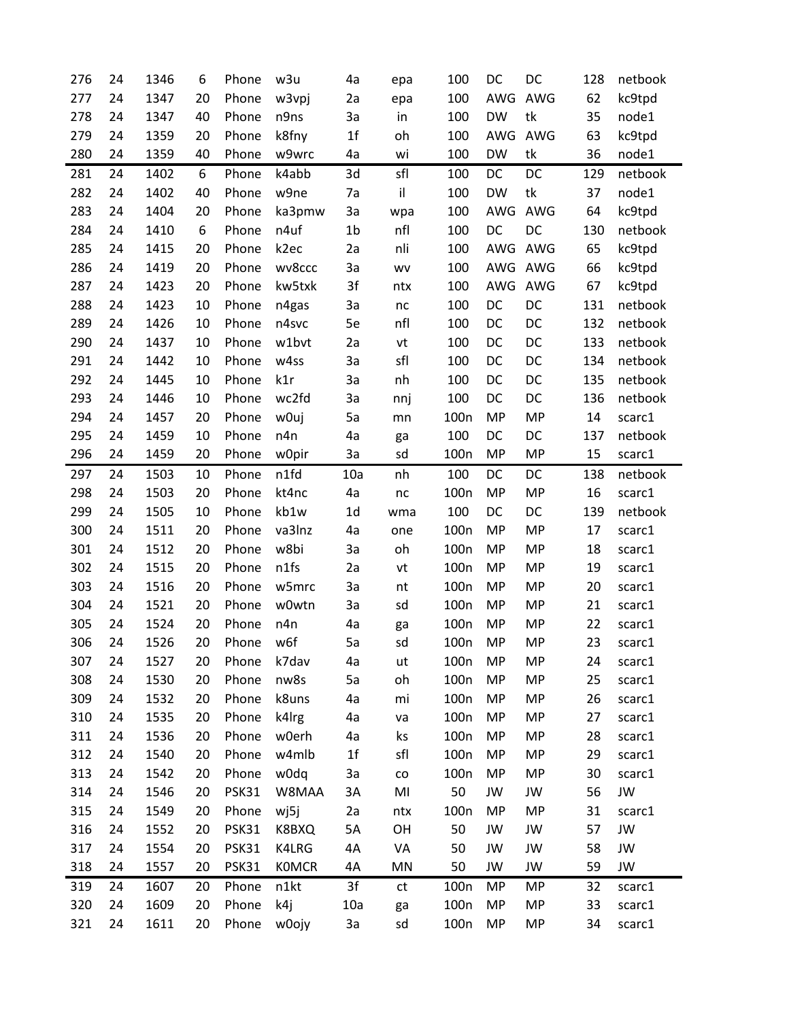| 276 | 24 | 1346 | 6  | Phone | w3u               | 4a             | epa        | 100              | DC        | DC        | 128 | netbook |
|-----|----|------|----|-------|-------------------|----------------|------------|------------------|-----------|-----------|-----|---------|
| 277 | 24 | 1347 | 20 | Phone | w3vpj             | 2a             | epa        | 100              | AWG       | AWG       | 62  | kc9tpd  |
| 278 | 24 | 1347 | 40 | Phone | n9ns              | 3a             | in         | 100              | <b>DW</b> | tk        | 35  | node1   |
| 279 | 24 | 1359 | 20 | Phone | k8fny             | 1 <sub>f</sub> | oh         | 100              | AWG       | AWG       | 63  | kc9tpd  |
| 280 | 24 | 1359 | 40 | Phone | w9wrc             | 4a             | wi         | 100              | <b>DW</b> | tk        | 36  | node1   |
| 281 | 24 | 1402 | 6  | Phone | k4abb             | 3d             | sfl        | 100              | DC        | DC        | 129 | netbook |
| 282 | 24 | 1402 | 40 | Phone | w9ne              | 7a             | il         | 100              | <b>DW</b> | tk        | 37  | node1   |
| 283 | 24 | 1404 | 20 | Phone | ka3pmw            | 3a             | wpa        | 100              | AWG       | AWG       | 64  | kc9tpd  |
| 284 | 24 | 1410 | 6  | Phone | n4uf              | 1 <sub>b</sub> | nfl        | 100              | DC        | DC        | 130 | netbook |
| 285 | 24 | 1415 | 20 | Phone | k <sub>2</sub> ec | 2a             | nli        | 100              | AWG       | AWG       | 65  | kc9tpd  |
| 286 | 24 | 1419 | 20 | Phone | wv8ccc            | За             | <b>WV</b>  | 100              | AWG       | AWG       | 66  | kc9tpd  |
| 287 | 24 | 1423 | 20 | Phone | kw5txk            | 3f             | ntx        | 100              | AWG       | AWG       | 67  | kc9tpd  |
| 288 | 24 | 1423 | 10 | Phone | n4gas             | 3a             | $\sf nc$   | 100              | DC        | DC        | 131 | netbook |
| 289 | 24 | 1426 | 10 | Phone | n4svc             | 5e             | nfl        | 100              | DC        | DC        | 132 | netbook |
| 290 | 24 | 1437 | 10 | Phone | w1bvt             | 2a             | vt         | 100              | DC        | DC        | 133 | netbook |
| 291 | 24 | 1442 | 10 | Phone | w4ss              | 3a             | sfl        | 100              | DC        | DC        | 134 | netbook |
| 292 | 24 | 1445 | 10 | Phone | k1r               | 3a             | nh         | 100              | DC        | DC        | 135 | netbook |
| 293 | 24 | 1446 | 10 | Phone | wc2fd             | 3a             | nnj        | 100              | DC        | DC        | 136 | netbook |
| 294 | 24 | 1457 | 20 | Phone | w0uj              | 5a             | mn         | 100 <sub>n</sub> | <b>MP</b> | <b>MP</b> | 14  | scarc1  |
| 295 | 24 | 1459 | 10 | Phone | n4n               | 4a             | ga         | 100              | DC        | DC        | 137 | netbook |
| 296 | 24 | 1459 | 20 | Phone | w0pir             | 3a             | sd         | 100 <sub>n</sub> | <b>MP</b> | <b>MP</b> | 15  | scarc1  |
| 297 | 24 | 1503 | 10 | Phone | n1fd              | 10a            | nh         | 100              | DC        | DC        | 138 | netbook |
| 298 | 24 | 1503 | 20 | Phone | kt4nc             | 4a             | nc         | 100 <sub>n</sub> | <b>MP</b> | <b>MP</b> | 16  | scarc1  |
| 299 | 24 | 1505 | 10 | Phone | kb1w              | 1 <sub>d</sub> | wma        | 100              | DC        | DC        | 139 | netbook |
| 300 | 24 | 1511 | 20 | Phone | va3lnz            | 4a             | one        | 100 <sub>n</sub> | <b>MP</b> | <b>MP</b> | 17  | scarc1  |
| 301 | 24 | 1512 | 20 | Phone | w8bi              | 3a             | oh         | 100 <sub>n</sub> | <b>MP</b> | <b>MP</b> | 18  | scarc1  |
| 302 | 24 | 1515 | 20 | Phone | n1fs              | 2a             | vt         | 100 <sub>n</sub> | <b>MP</b> | <b>MP</b> | 19  | scarc1  |
| 303 | 24 | 1516 | 20 | Phone | w5mrc             | 3a             | nt         | 100 <sub>n</sub> | <b>MP</b> | <b>MP</b> | 20  | scarc1  |
| 304 | 24 | 1521 | 20 | Phone | w0wtn             | 3a             | sd         | 100 <sub>n</sub> | <b>MP</b> | <b>MP</b> | 21  | scarc1  |
| 305 | 24 | 1524 | 20 | Phone | n4n               | 4a             | ga         | 100 <sub>n</sub> | <b>MP</b> | <b>MP</b> | 22  | scarc1  |
| 306 | 24 | 1526 | 20 | Phone | w6f               | 5a             | sd         | 100 <sub>n</sub> | <b>MP</b> | <b>MP</b> | 23  | scarc1  |
| 307 | 24 | 1527 | 20 | Phone | k7dav             | 4a             | ut         | 100 <sub>n</sub> | <b>MP</b> | MP        | 24  | scarc1  |
| 308 | 24 | 1530 | 20 | Phone | nw8s              | 5a             | oh         | 100 <sub>n</sub> | <b>MP</b> | <b>MP</b> | 25  | scarc1  |
| 309 | 24 | 1532 | 20 | Phone | k8uns             | 4a             | mi         | 100 <sub>n</sub> | <b>MP</b> | MP        | 26  | scarc1  |
| 310 | 24 | 1535 | 20 | Phone | k4lrg             | 4a             | va         | 100 <sub>n</sub> | <b>MP</b> | <b>MP</b> | 27  | scarc1  |
| 311 | 24 | 1536 | 20 | Phone | w0erh             | 4a             | ks         | 100 <sub>n</sub> | MP        | <b>MP</b> | 28  | scarc1  |
| 312 | 24 | 1540 | 20 | Phone | w4mlb             | 1 <sub>f</sub> | sfl        | 100 <sub>n</sub> | MP        | <b>MP</b> | 29  | scarc1  |
| 313 | 24 | 1542 | 20 | Phone | w0dq              | За             | ${\rm co}$ | 100 <sub>n</sub> | <b>MP</b> | <b>MP</b> | 30  | scarc1  |
| 314 | 24 | 1546 | 20 | PSK31 | W8MAA             | 3A             | MI         | 50               | JW        | JW        | 56  | JW      |
| 315 | 24 | 1549 | 20 | Phone | wj5j              | 2a             | ntx        | 100 <sub>n</sub> | <b>MP</b> | <b>MP</b> | 31  | scarc1  |
| 316 | 24 | 1552 | 20 | PSK31 | K8BXQ             | 5A             | OH         | 50               | JW        | JW        | 57  | JW      |
| 317 | 24 | 1554 | 20 | PSK31 | K4LRG             | 4A             | VA         | 50               | JW        | JW        | 58  | JW      |
| 318 | 24 | 1557 | 20 | PSK31 | <b>KOMCR</b>      | 4A             | MN         | 50               | JW        | JW        | 59  | JW      |
| 319 | 24 | 1607 | 20 | Phone | n1kt              | 3f             | ct         | 100 <sub>n</sub> | MP        | MP        | 32  | scarc1  |
| 320 | 24 | 1609 | 20 | Phone | k4j               | 10a            | ga         | 100 <sub>n</sub> | <b>MP</b> | <b>MP</b> | 33  | scarc1  |
| 321 | 24 | 1611 | 20 | Phone | w0ojy             | За             | sd         | 100 <sub>n</sub> | <b>MP</b> | MP        | 34  | scarc1  |